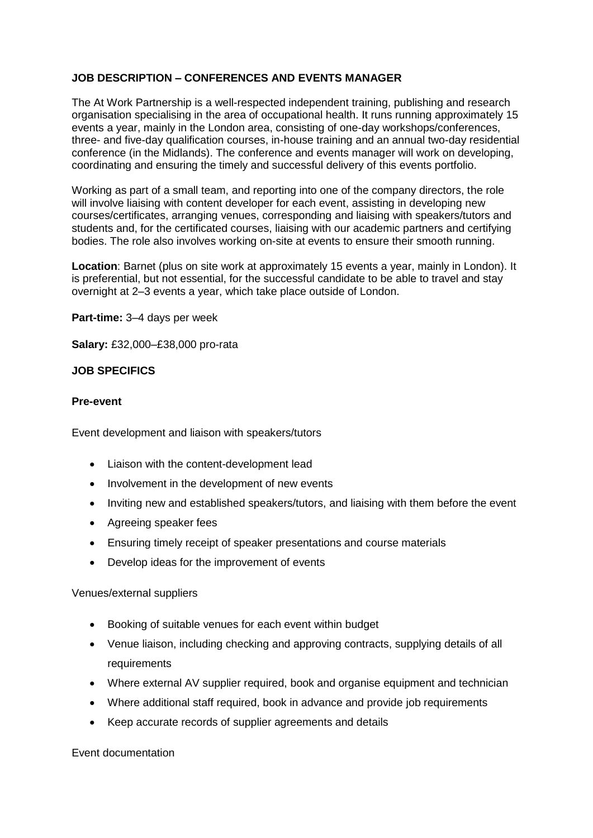### **JOB DESCRIPTION – CONFERENCES AND EVENTS MANAGER**

The At Work Partnership is a well-respected independent training, publishing and research organisation specialising in the area of occupational health. It runs running approximately 15 events a year, mainly in the London area, consisting of one-day workshops/conferences, three- and five-day qualification courses, in-house training and an annual two-day residential conference (in the Midlands). The conference and events manager will work on developing, coordinating and ensuring the timely and successful delivery of this events portfolio.

Working as part of a small team, and reporting into one of the company directors, the role will involve liaising with content developer for each event, assisting in developing new courses/certificates, arranging venues, corresponding and liaising with speakers/tutors and students and, for the certificated courses, liaising with our academic partners and certifying bodies. The role also involves working on-site at events to ensure their smooth running.

**Location**: Barnet (plus on site work at approximately 15 events a year, mainly in London). It is preferential, but not essential, for the successful candidate to be able to travel and stay overnight at 2–3 events a year, which take place outside of London.

**Part-time:** 3–4 days per week

**Salary:** £32,000–£38,000 pro-rata

#### **JOB SPECIFICS**

#### **Pre-event**

Event development and liaison with speakers/tutors

- Liaison with the content-development lead
- Involvement in the development of new events
- Inviting new and established speakers/tutors, and liaising with them before the event
- Agreeing speaker fees
- Ensuring timely receipt of speaker presentations and course materials
- Develop ideas for the improvement of events

Venues/external suppliers

- Booking of suitable venues for each event within budget
- Venue liaison, including checking and approving contracts, supplying details of all requirements
- Where external AV supplier required, book and organise equipment and technician
- Where additional staff required, book in advance and provide job requirements
- Keep accurate records of supplier agreements and details

Event documentation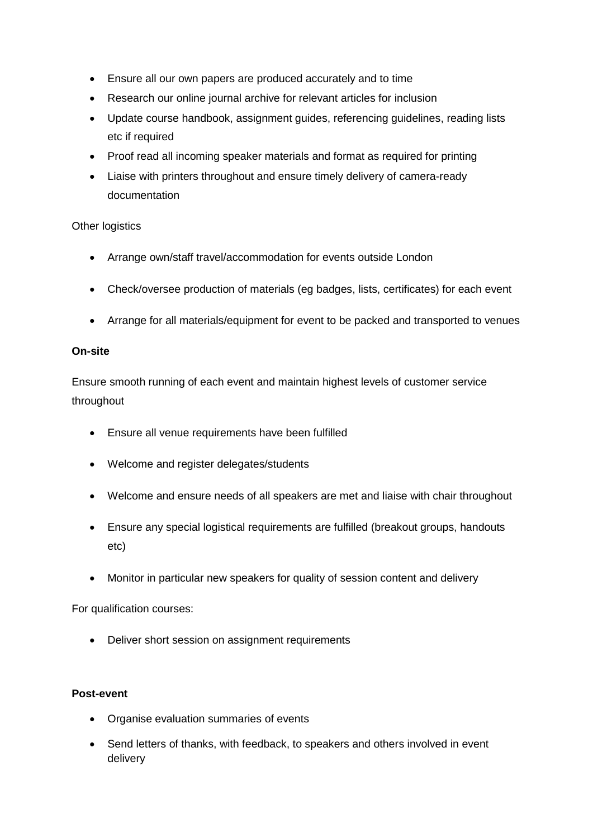- Ensure all our own papers are produced accurately and to time
- Research our online journal archive for relevant articles for inclusion
- Update course handbook, assignment guides, referencing guidelines, reading lists etc if required
- Proof read all incoming speaker materials and format as required for printing
- Liaise with printers throughout and ensure timely delivery of camera-ready documentation

# Other logistics

- Arrange own/staff travel/accommodation for events outside London
- Check/oversee production of materials (eg badges, lists, certificates) for each event
- Arrange for all materials/equipment for event to be packed and transported to venues

#### **On-site**

Ensure smooth running of each event and maintain highest levels of customer service throughout

- Ensure all venue requirements have been fulfilled
- Welcome and register delegates/students
- Welcome and ensure needs of all speakers are met and liaise with chair throughout
- Ensure any special logistical requirements are fulfilled (breakout groups, handouts etc)
- Monitor in particular new speakers for quality of session content and delivery

For qualification courses:

• Deliver short session on assignment requirements

# **Post-event**

- Organise evaluation summaries of events
- Send letters of thanks, with feedback, to speakers and others involved in event delivery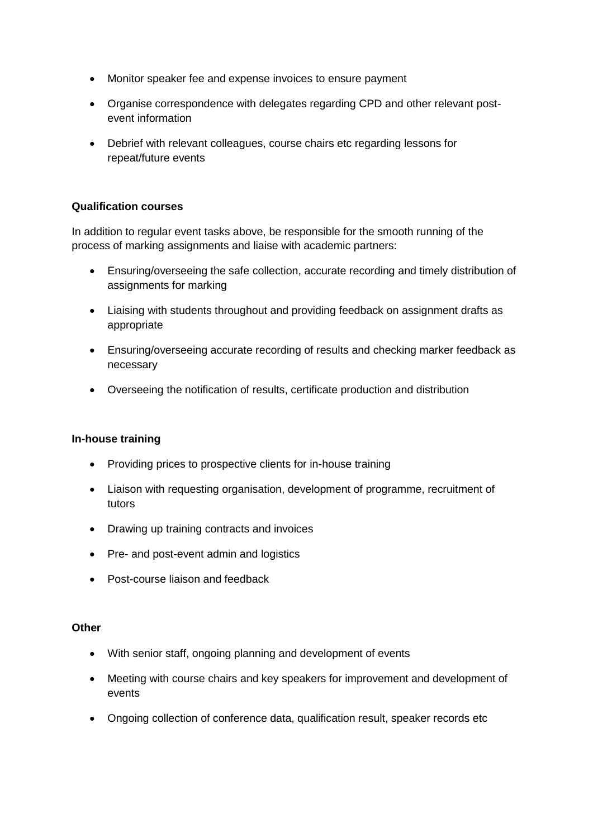- Monitor speaker fee and expense invoices to ensure payment
- Organise correspondence with delegates regarding CPD and other relevant postevent information
- Debrief with relevant colleagues, course chairs etc regarding lessons for repeat/future events

# **Qualification courses**

In addition to regular event tasks above, be responsible for the smooth running of the process of marking assignments and liaise with academic partners:

- Ensuring/overseeing the safe collection, accurate recording and timely distribution of assignments for marking
- Liaising with students throughout and providing feedback on assignment drafts as appropriate
- Ensuring/overseeing accurate recording of results and checking marker feedback as necessary
- Overseeing the notification of results, certificate production and distribution

#### **In-house training**

- Providing prices to prospective clients for in-house training
- Liaison with requesting organisation, development of programme, recruitment of tutors
- Drawing up training contracts and invoices
- Pre- and post-event admin and logistics
- Post-course liaison and feedback

#### **Other**

- With senior staff, ongoing planning and development of events
- Meeting with course chairs and key speakers for improvement and development of events
- Ongoing collection of conference data, qualification result, speaker records etc